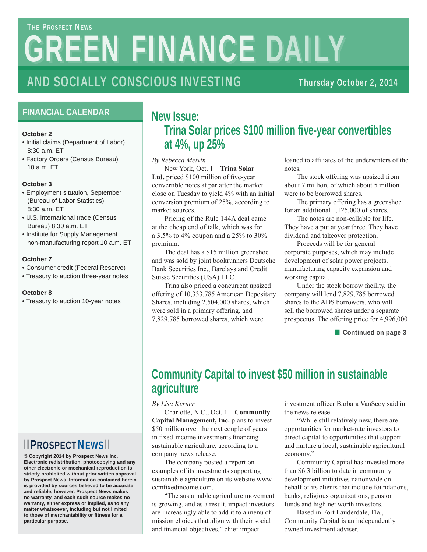# **GREEN FINANCE DAILY THE PROSPECT NEWS**

## AND SOCIALLY CONSCIOUS INVESTING

Thursday October 2, 2014

### **FINANCIAL CALENDAR**

#### **October 2**

- Initial claims (Department of Labor) 8:30 a.m. ET
- Factory Orders (Census Bureau) 10 a.m. ET

#### **October 3**

- Employment situation, September (Bureau of Labor Statistics) 8:30 a.m. ET
- U.S. international trade (Census Bureau) 8:30 a.m. ET
- Institute for Supply Management non-manufacturing report 10 a.m. ET

#### **October 7**

- Consumer credit (Federal Reserve)
- Treasury to auction three-year notes

#### **October 8**

• Treasury to auction 10-year notes

### ▮ ▮PROSPECTNEWS▮ ▮

**© Copyright 2014 by Prospect News Inc. Electronic redistribution, photocopying and any other electronic or mechanical reproduction is strictly prohibited without prior written approval by Prospect News. Information contained herein is provided by sources believed to be accurate and reliable, however, Prospect News makes no warranty, and each such source makes no warranty, either express or implied, as to any matter whatsoever, including but not limited to those of merchantability or fitness for a particular purpose.**

### **New Issue: Trina Solar prices \$100 million five-year convertibles at 4%, up 25%**

*By Rebecca Melvin*

 New York, Oct. 1 – **Trina Solar**  Ltd. priced \$100 million of five-year convertible notes at par after the market close on Tuesday to yield 4% with an initial conversion premium of 25%, according to market sources.

 Pricing of the Rule 144A deal came at the cheap end of talk, which was for a 3.5% to 4% coupon and a 25% to 30% premium.

 The deal has a \$15 million greenshoe and was sold by joint bookrunners Deutsche Bank Securities Inc., Barclays and Credit Suisse Securities (USA) LLC.

 Trina also priced a concurrent upsized offering of 10,333,785 American Depositary Shares, including 2,504,000 shares, which were sold in a primary offering, and 7,829,785 borrowed shares, which were

loaned to affiliates of the underwriters of the notes.

 The stock offering was upsized from about 7 million, of which about 5 million were to be borrowed shares.

 The primary offering has a greenshoe for an additional 1,125,000 of shares.

 The notes are non-callable for life. They have a put at year three. They have dividend and takeover protection.

 Proceeds will be for general corporate purposes, which may include development of solar power projects, manufacturing capacity expansion and working capital.

 Under the stock borrow facility, the company will lend 7,829,785 borrowed shares to the ADS borrowers, who will sell the borrowed shares under a separate prospectus. The offering price for 4,996,000

■ **Continued on page 3** 

### **Community Capital to invest \$50 million in sustainable agriculture**

*By Lisa Kerner*

 Charlotte, N.C., Oct. 1 – **Community Capital Management, Inc.** plans to invest \$50 million over the next couple of years in fixed-income investments financing sustainable agriculture, according to a company news release.

 The company posted a report on examples of its investments supporting sustainable agriculture on its website www. ccmfixedincome.com.

 "The sustainable agriculture movement is growing, and as a result, impact investors are increasingly able to add it to a menu of mission choices that align with their social and financial objectives," chief impact

investment officer Barbara VanScoy said in the news release.

 "While still relatively new, there are opportunities for market-rate investors to direct capital to opportunities that support and nurture a local, sustainable agricultural economy."

 Community Capital has invested more than \$6.3 billion to date in community development initiatives nationwide on behalf of its clients that include foundations, banks, religious organizations, pension funds and high net worth investors.

 Based in Fort Lauderdale, Fla., Community Capital is an independently owned investment adviser.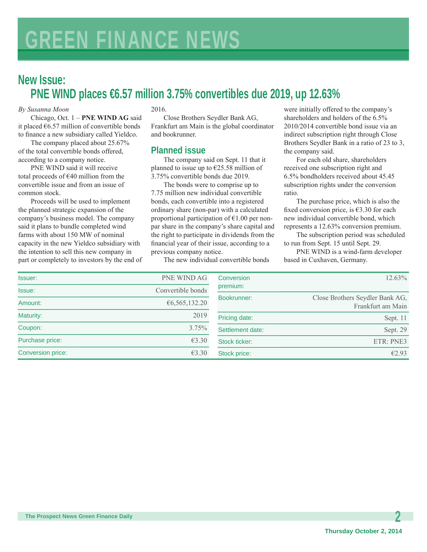### **New Issue: PNE WIND places €6.57 million 3.75% convertibles due 2019, up 12.63%**

#### *By Susanna Moon*

 Chicago, Oct. 1 – **PNE WIND AG** said it placed  $66.57$  million of convertible bonds to finance a new subsidiary called Yieldco.

 The company placed about 25.67% of the total convertible bonds offered, according to a company notice.

 PNE WIND said it will receive total proceeds of  $\epsilon$ 40 million from the convertible issue and from an issue of common stock.

 Proceeds will be used to implement the planned strategic expansion of the company's business model. The company said it plans to bundle completed wind farms with about 150 MW of nominal capacity in the new Yieldco subsidiary with the intention to sell this new company in part or completely to investors by the end of

#### 2016.

 Close Brothers Seydler Bank AG, Frankfurt am Main is the global coordinator and bookrunner.

### **Planned issue**

 The company said on Sept. 11 that it planned to issue up to  $\epsilon$ 25.58 million of 3.75% convertible bonds due 2019.

 The bonds were to comprise up to 7.75 million new individual convertible bonds, each convertible into a registered ordinary share (non-par) with a calculated proportional participation of  $E1.00$  per nonpar share in the company's share capital and the right to participate in dividends from the financial year of their issue, according to a previous company notice.

The new individual convertible bonds

were initially offered to the company's shareholders and holders of the 6.5% 2010/2014 convertible bond issue via an indirect subscription right through Close Brothers Seydler Bank in a ratio of 23 to 3, the company said.

 For each old share, shareholders received one subscription right and 6.5% bondholders received about 45.45 subscription rights under the conversion ratio.

 The purchase price, which is also the fixed conversion price, is  $\epsilon$ 3.30 for each new individual convertible bond, which represents a 12.63% conversion premium.

 The subscription period was scheduled to run from Sept. 15 until Sept. 29.

 PNE WIND is a wind-farm developer based in Cuxhaven, Germany.

| Issuer:           | PNE WIND AG       | Conversion       | $12.63\%$                                            |
|-------------------|-------------------|------------------|------------------------------------------------------|
| Issue:            | Convertible bonds | premium:         |                                                      |
| Amount:           | € $6,565,132.20$  | Bookrunner:      | Close Brothers Seydler Bank AG,<br>Frankfurt am Main |
| Maturity:         | 2019              | Pricing date:    | Sept. 11                                             |
| Coupon:           | $3.75\%$          | Settlement date: | Sept. 29                                             |
| Purchase price:   | $\epsilon$ 3.30   | Stock ticker:    | ETR: PNE3                                            |
| Conversion price: | €3.30             | Stock price:     | E2.93                                                |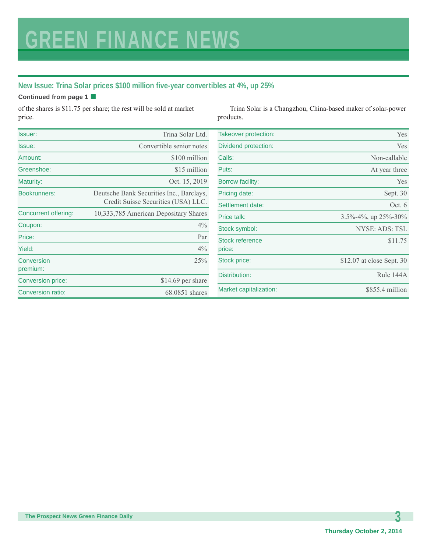### **New Issue: Trina Solar prices \$100 million five-year convertibles at 4%, up 25%**

#### **Continued from page 1** ■

of the shares is \$11.75 per share; the rest will be sold at market price.

 Trina Solar is a Changzhou, China-based maker of solar-power products.

| Issuer:                     | Trina Solar Ltd.                                                                | Takeover protection:   | Yes                              |
|-----------------------------|---------------------------------------------------------------------------------|------------------------|----------------------------------|
| Issue:                      | Convertible senior notes                                                        | Dividend protection:   | Yes                              |
| Amount:                     | \$100 million                                                                   | Calls:                 | Non-callable                     |
| Greenshoe:                  | \$15 million                                                                    | Puts:                  | At year three                    |
| Maturity:                   | Oct. 15, 2019                                                                   | Borrow facility:       | Yes                              |
| <b>Bookrunners:</b>         | Deutsche Bank Securities Inc., Barclays,<br>Credit Suisse Securities (USA) LLC. | Pricing date:          | Sept. 30                         |
|                             |                                                                                 | Settlement date:       | Oct. 6                           |
| <b>Concurrent offering:</b> | 10,333,785 American Depositary Shares                                           | Price talk:            | $3.5\% - 4\%$ , up $25\% - 30\%$ |
| Coupon:                     | 4%                                                                              | Stock symbol:          | NYSE: ADS: TSL                   |
| Price:                      | Par                                                                             | <b>Stock reference</b> | \$11.75                          |
| Yield:                      | $4\%$                                                                           | price:                 |                                  |
| Conversion                  | 25%                                                                             | Stock price:           | \$12.07 at close Sept. 30        |
| premium:                    |                                                                                 | Distribution:          | Rule 144A                        |
| Conversion price:           | \$14.69 per share                                                               |                        |                                  |
| Conversion ratio:           | 68.0851 shares                                                                  | Market capitalization: | \$855.4 million                  |